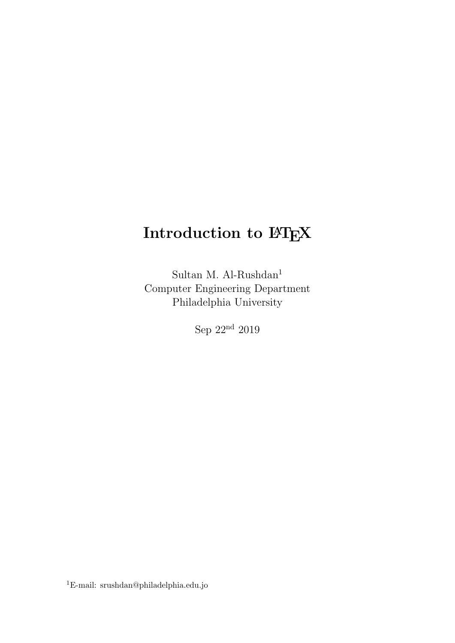### Introduction to FIEX

Sultan M. Al-Rushdan<sup>1</sup> Computer Engineering Department Philadelphia University

Sep 22nd 2019

 $^1\mathrm{E}\text{-}\mathrm{mail:}$ srushdan@philadelphia.edu.jo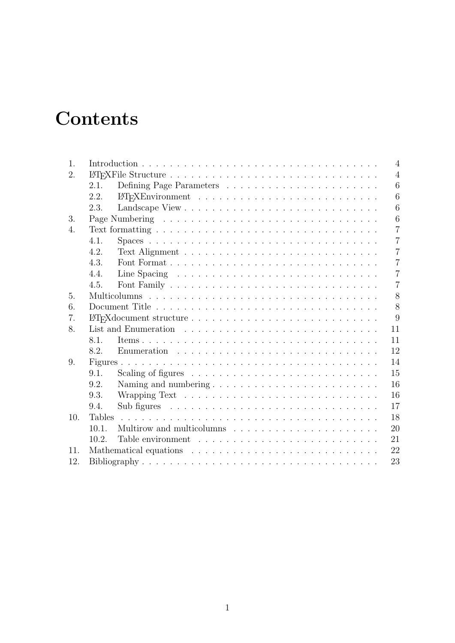## **Contents**

| 1.               |               | $\overline{4}$             |
|------------------|---------------|----------------------------|
| 2.               |               | $\overline{4}$             |
|                  | 2.1.          | 6                          |
|                  | 2.2.          | 6                          |
|                  | 2.3.          | 6                          |
| 3.               |               | 6                          |
| $\overline{4}$ . |               | $\overline{7}$             |
|                  | 4.1.          | $\overline{7}$             |
|                  | 4.2.          | $\overline{7}$             |
|                  | 4.3.          | $\overline{7}$             |
|                  | 4.4.          | $\overline{7}$             |
|                  | 4.5.          | $\overline{7}$             |
| 5.               |               | 8                          |
| 6.               |               | 8                          |
| 7.               |               | 9                          |
| 8.               |               | 11                         |
|                  | 8.1.          | 11                         |
|                  | 8.2.          | 12                         |
| 9.               |               | 14                         |
|                  | 9.1.          | 15                         |
|                  | 9.2.          | 16<br>Naming and numbering |
|                  | 9.3.          | 16                         |
|                  | 9.4.          | 17                         |
| 10.              | <b>Tables</b> | 18                         |
|                  | 10.1.         | 20                         |
|                  | 10.2          | 21                         |
| 11.              |               | 22                         |
| 12.              |               | 23                         |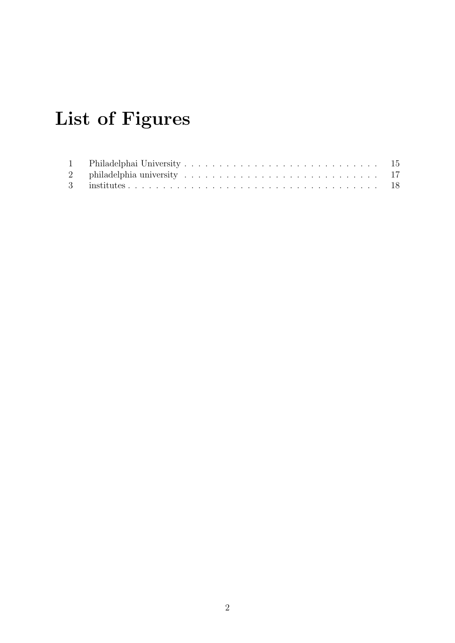# List of Figures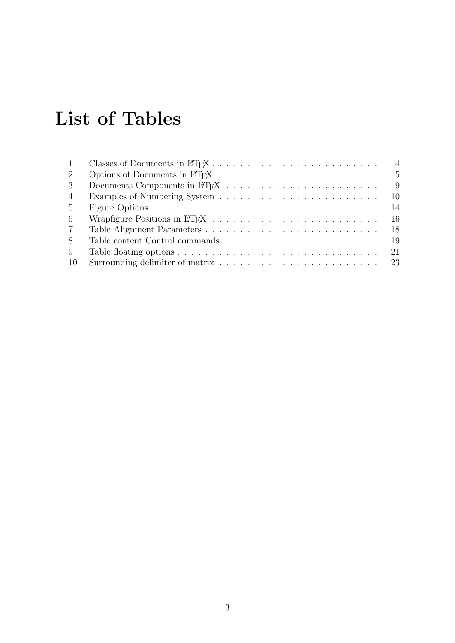# List of Tables

| $\mathbf{1}$   | $\overline{4}$ |
|----------------|----------------|
| 2              |                |
| $\mathcal{S}$  | - 9            |
| $\overline{4}$ | - 10           |
| 5 <sup>5</sup> | 14             |
| 6              |                |
| $7^{\circ}$    |                |
| 8              |                |
| 9              |                |
| 10             |                |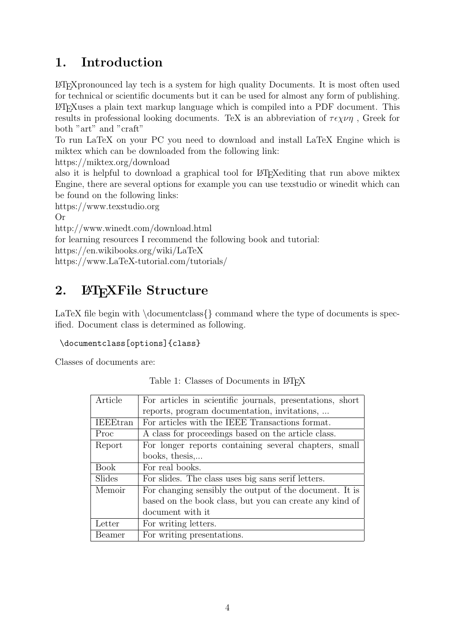### 1. Introduction

LATEXpronounced lay tech is a system for high quality Documents. It is most often used for technical or scientific documents but it can be used for almost any form of publishing. LATEXuses a plain text markup language which is compiled into a PDF document. This results in professional looking documents. TeX is an abbreviation of  $\tau \epsilon \chi \nu \eta$ , Greek for both "art" and "craft"

To run LaTeX on your PC you need to download and install LaTeX Engine which is miktex which can be downloaded from the following link:

https://miktex.org/download

also it is helpful to download a graphical tool for LAT<sub>EX</sub>-editing that run above miktex Engine, there are several options for example you can use texstudio or winedit which can be found on the following links:

https://www.texstudio.org

Or

```
http://www.winedt.com/download.html
```
for learning resources I recommend the following book and tutorial:

https://en.wikibooks.org/wiki/LaTeX

https://www.LaTeX-tutorial.com/tutorials/

### 2. LAT<sub>E</sub>XFile Structure

LaTeX file begin with  $\downarrow$  document class  $\downarrow$  command where the type of documents is specified. Document class is determined as following.

#### \documentclass[options]{class}

Classes of documents are:

| Article         | For articles in scientific journals, presentations, short |
|-----------------|-----------------------------------------------------------|
|                 |                                                           |
|                 | reports, program documentation, invitations,              |
| <b>IEEEtran</b> | For articles with the IEEE Transactions format.           |
| Proc            | A class for proceedings based on the article class.       |
| Report          | For longer reports containing several chapters, small     |
|                 | books, thesis,                                            |
| <b>Book</b>     | For real books.                                           |
| Slides          | For slides. The class uses big sans serif letters.        |
| Memoir          | For changing sensibly the output of the document. It is   |
|                 | based on the book class, but you can create any kind of   |
|                 | document with it                                          |
| Letter          | For writing letters.                                      |
| Beamer          | For writing presentations.                                |

Table 1: Classes of Documents in LAT<sub>EX</sub>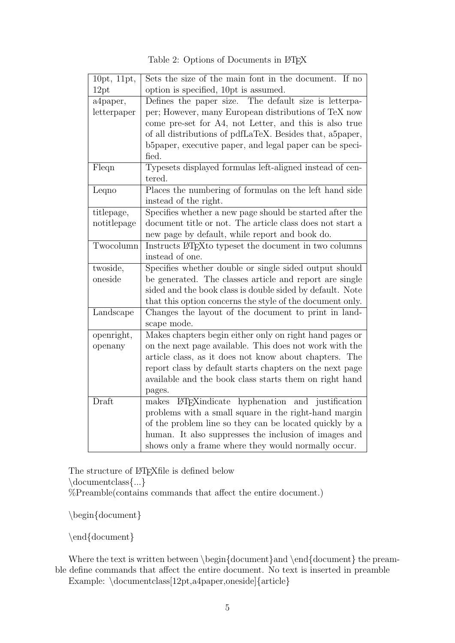| 10pt, 11pt, | Sets the size of the main font in the document. If no               |
|-------------|---------------------------------------------------------------------|
| 12pt        | option is specified, 10pt is assumed.                               |
| a4paper,    | Defines the paper size.<br>The default size is letterpa-            |
| letterpaper | per; However, many European distributions of TeX now                |
|             | come pre-set for A4, not Letter, and this is also true              |
|             | of all distributions of pdfLaTeX. Besides that, a5paper,            |
|             | b5paper, executive paper, and legal paper can be speci-             |
|             | fied.                                                               |
| Fleqn       | Typesets displayed formulas left-aligned instead of cen-<br>tered.  |
| Leqno       | Places the numbering of formulas on the left hand side              |
|             | instead of the right.                                               |
| titlepage,  | Specifies whether a new page should be started after the            |
| notitlepage | document title or not. The article class does not start a           |
|             | new page by default, while report and book do.                      |
| Twocolumn   | Instructs LAT <sub>E</sub> Xto typeset the document in two columns  |
|             | instead of one.                                                     |
| twoside,    | Specifies whether double or single sided output should              |
| oneside     | be generated. The classes article and report are single             |
|             | sided and the book class is double sided by default. Note           |
|             | that this option concerns the style of the document only.           |
| Landscape   | Changes the layout of the document to print in land-<br>scape mode. |
| openright,  | Makes chapters begin either only on right hand pages or             |
| openany     | on the next page available. This does not work with the             |
|             | article class, as it does not know about chapters. The              |
|             | report class by default starts chapters on the next page            |
|             | available and the book class starts them on right hand              |
|             | pages.                                                              |
| Draft       | LAT <sub>F</sub> Xindicate hyphenation and justification<br>makes   |
|             | problems with a small square in the right-hand margin               |
|             | of the problem line so they can be located quickly by a             |
|             | human. It also suppresses the inclusion of images and               |
|             | shows only a frame where they would normally occur.                 |

Table 2: Options of Documents in L<sup>AT</sup>EX

The structure of LATEX file is defined below \documentclass{...} %Preamble(contains commands that affect the entire document.)

\begin{document}

\end{document}

Where the text is written between \begin{document}and \end{document} the preamble define commands that affect the entire document. No text is inserted in preamble

Example: \documentclass[12pt,a4paper,oneside]{article}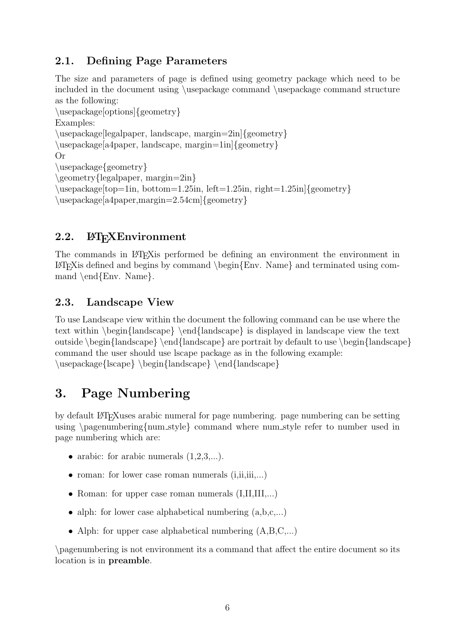### 2.1. Defining Page Parameters

The size and parameters of page is defined using geometry package which need to be included in the document using \usepackage command \usepackage command structure as the following: \usepackage[options]{geometry} Examples: \usepackage[legalpaper, landscape, margin=2in]{geometry} \usepackage[a4paper, landscape, margin=1in]{geometry} Or \usepackage{geometry} \geometry{legalpaper, margin=2in} \usepackage[top=1in, bottom=1.25in, left=1.25in, right=1.25in]{geometry} \usepackage[a4paper,margin=2.54cm]{geometry}

### 2.2. ETFXEnvironment

The commands in LATEXis performed be defining an environment the environment in  $\LaTeX{}$ is defined and begins by command \begin{Env. Name} and terminated using command  $\end{Env}$ . Name.

### 2.3. Landscape View

To use Landscape view within the document the following command can be use where the text within \begin{landscape} \end{landscape} is displayed in landscape view the text outside  $\begin{array}{\end{array}$  are portrait by default to use  $\begin{array}{\end{array}$  and  $\end{array}$ command the user should use lscape package as in the following example: \usepackage{lscape} \begin{landscape} \end{landscape}

### 3. Page Numbering

by default LATEXuses arabic numeral for page numbering. page numbering can be setting using  $\pagenumber{fun _style}$  command where num style refer to number used in page numbering which are:

- arabic: for arabic numerals  $(1,2,3,...)$ .
- roman: for lower case roman numerals  $(i, ii, iii, ...)$
- Roman: for upper case roman numerals  $(I,II,III,...)$
- alph: for lower case alphabetical numbering  $(a,b,c,...)$
- Alph: for upper case alphabetical numbering  $(A, B, C, \ldots)$

\pagenumbering is not environment its a command that affect the entire document so its location is in preamble.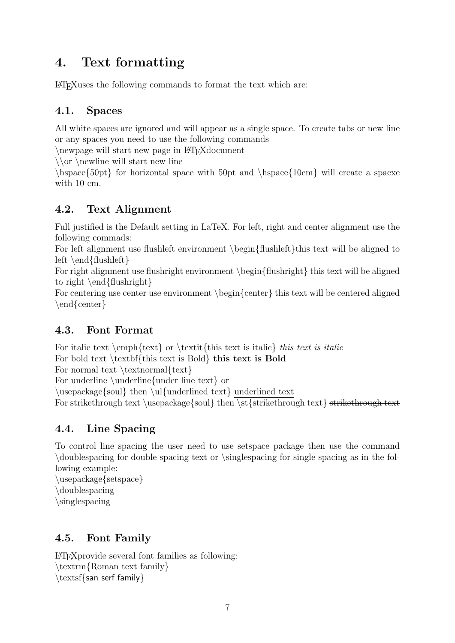### 4. Text formatting

LATEXuses the following commands to format the text which are:

### 4.1. Spaces

All white spaces are ignored and will appear as a single space. To create tabs or new line or any spaces you need to use the following commands

\newpage will start new page in L<sup>AT</sup>FXdocument

 $\log \neq$  will start new line

\hspace{50pt} for horizontal space with 50pt and \hspace{10cm} will create a spacxe with 10 cm.

### 4.2. Text Alignment

Full justified is the Default setting in LaTeX. For left, right and center alignment use the following commads:

For left alignment use flushleft environment \begin{flushleft}this text will be aligned to left \end{flushleft}

For right alignment use flushright environment \begin{flushright} this text will be aligned to right \end{flushright}

For centering use center use environment \begin{center} this text will be centered aligned \end{center}

### 4.3. Font Format

For italic text  $\text{t}$  or  $\text{this text}$  is italic this text is italic For bold text \textbf{this text is Bold} this text is Bold

For normal text  $\text{normal}$  {text}

For underline \underline{under line text} or

\usepackage{soul} then \ul{underlined text} underlined text

For strikethrough text \usepackage{soul} then \st{strikethrough text} strikethrough text

### 4.4. Line Spacing

To control line spacing the user need to use setspace package then use the command \doublespacing for double spacing text or \singlespacing for single spacing as in the following example:

\usepackage{setspace} \doublespacing \singlespacing

### 4.5. Font Family

LATEXprovide several font families as following: \textrm{Roman text family} \textsf{san serf family}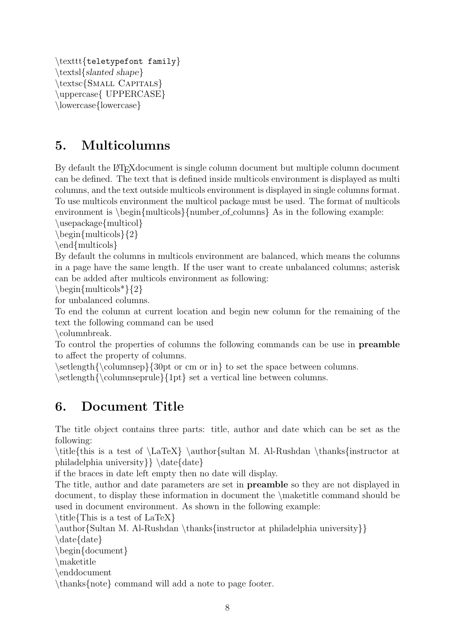```
\texttt{teletypefont family}
\textsl{slanted shape}
\textsc{SMALL CAPITALS}
\uppercase{ UPPERCASE}
\lowercase{lowercase}
```
### 5. Multicolumns

By default the LATEX document is single column document but multiple column document can be defined. The text that is defined inside multicols environment is displayed as multi columns, and the text outside multicols environment is displayed in single columns format. To use multicols environment the multicol package must be used. The format of multicols environment is  $\begin{cases}$ multicols ${\text{number_ofj_} }$ As in the following example:

\usepackage{multicol}

 $\begin{cases}$  \begin{multicols}{2}

\end{multicols}

By default the columns in multicols environment are balanced, which means the columns in a page have the same length. If the user want to create unbalanced columns; asterisk can be added after multicols environment as following:

 $\begin{cases}$  hegin{multicols<sup>\*</sup>}{2}

for unbalanced columns.

To end the column at current location and begin new column for the remaining of the text the following command can be used

\columnbreak.

To control the properties of columns the following commands can be use in preamble to affect the property of columns.

 $\setminus \setminus \setminus \{\text{columnsep}\}\$  or cm or in to set the space between columns.

\setlength{\columnseprule}{1pt} set a vertical line between columns.

### 6. Document Title

The title object contains three parts: title, author and date which can be set as the following:

 $\tilde{\theta}$  is a test of  $\L{aTex} \author{\sultan M. Al-Rushdan \thanks{\in$ philadelphia university } \date{date}

if the braces in date left empty then no date will display.

The title, author and date parameters are set in preamble so they are not displayed in document, to display these information in document the \maketitle command should be used in document environment. As shown in the following example:

\title{This is a test of LaTeX}

\author{Sultan M. Al-Rushdan \thanks{instructor at philadelphia university}}

\date{date}

\begin{document}

\maketitle

\enddocument

\thanks{note} command will add a note to page footer.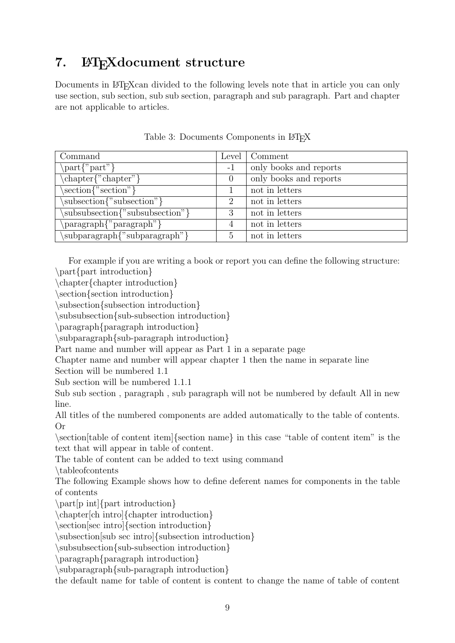### 7. LATEXdocument structure

Documents in LAT<sub>E</sub>Xcan divided to the following levels note that in article you can only use section, sub section, sub sub section, paragraph and sub paragraph. Part and chapter are not applicable to articles.

| Command                                                       | Level | Comment                |
|---------------------------------------------------------------|-------|------------------------|
| $\text{part}$ '' part $\}$                                    | $-1$  | only books and reports |
| $\text{chaper}$ '' chapter'' }                                |       | only books and reports |
| $\setminus \operatorname{section} \{ \text{``section"} \}$    |       | not in letters         |
| subsection {"subsection" }                                    | 2     | not in letters         |
| subsubsection{"subsubsection"}                                | 3     | not in letters         |
| $\gamma$ paragraph $\gamma$ <sup>*</sup> paragraph $\gamma$ } |       | not in letters         |
| \subparagraph{"subparagraph"}                                 |       | not in letters         |

Table 3: Documents Components in LAT<sub>E</sub>X

For example if you are writing a book or report you can define the following structure: \part{part introduction}

\chapter{chapter introduction}

\section{section introduction}

\subsection{subsection introduction}

\subsubsection{sub-subsection introduction}

\paragraph{paragraph introduction}

\subparagraph{sub-paragraph introduction}

Part name and number will appear as Part 1 in a separate page

Chapter name and number will appear chapter 1 then the name in separate line Section will be numbered 1.1

Sub section will be numbered 1.1.1

Sub sub section , paragraph , sub paragraph will not be numbered by default All in new line.

All titles of the numbered components are added automatically to the table of contents. Or

\section[table of content item]{section name} in this case "table of content item" is the text that will appear in table of content.

The table of content can be added to text using command

\tableofcontents

The following Example shows how to define deferent names for components in the table of contents

\part[p int]{part introduction}

\chapter[ch intro]{chapter introduction}

\section[sec intro]{section introduction}

\subsection[sub sec intro]{subsection introduction}

\subsubsection{sub-subsection introduction}

\paragraph{paragraph introduction}

\subparagraph{sub-paragraph introduction}

the default name for table of content is content to change the name of table of content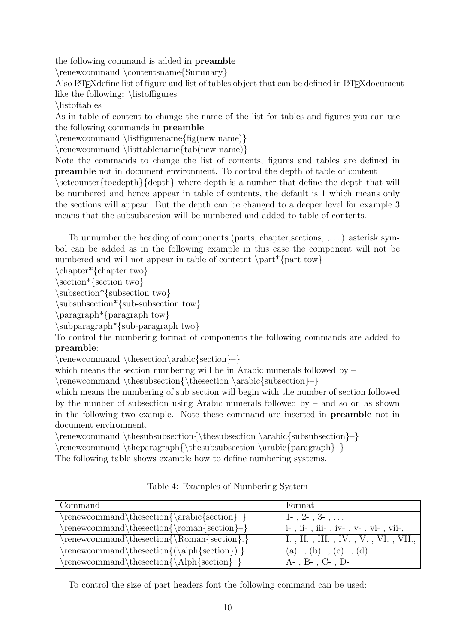the following command is added in preamble

\renewcommand \contentsname{Summary}

Also LATEX define list of figure and list of tables object that can be defined in LATEX document like the following: \listoffigures

\listoftables

As in table of content to change the name of the list for tables and figures you can use the following commands in preamble

\renewcommand \listfigurename{fig(new name)}

\renewcommand \listtablename{tab(new name)}

Note the commands to change the list of contents, figures and tables are defined in preamble not in document environment. To control the depth of table of content

 $\setminus$ setcounter $\{to \text{depth}\}$  where depth is a number that define the depth that will be numbered and hence appear in table of contents, the default is 1 which means only the sections will appear. But the depth can be changed to a deeper level for example 3 means that the subsubsection will be numbered and added to table of contents.

To unnumber the heading of components (parts, chapter,sections, ,. . . ) asterisk symbol can be added as in the following example in this case the component will not be numbered and will not appear in table of contetnt \part\*{part tow}

\chapter\*{chapter two}

\section\*{section two}

\subsection\*{subsection two}

\subsubsection\*{sub-subsection tow}

\paragraph\*{paragraph tow}

\subparagraph\*{sub-paragraph two}

To control the numbering format of components the following commands are added to preamble:

\renewcommand \thesection\arabic{section}–}

which means the section numbering will be in Arabic numerals followed by  $-$ 

\renewcommand \thesubsection{\thesection \arabic{subsection}–}

which means the numbering of sub section will begin with the number of section followed by the number of subsection using Arabic numerals followed by – and so on as shown in the following two example. Note these command are inserted in preamble not in document environment.

 $\rm{emewcommand}$  \thesubsubsection {\thesubsection \arabic{subsubsection }–}

\renewcommand \theparagraph{\thesubsubsection \arabic{paragraph}–}

The following table shows example how to define numbering systems.

| Command                                              | Format                                |
|------------------------------------------------------|---------------------------------------|
| $\verb \renewcommand \thesection{\arabic{section}- $ | $1-$ , $2-$ , $3-$ ,                  |
| $\renewcommand\thesection{\romand\thinspace}+$       | $i-$ , ii-, iii-, iv-, v-, vi-, vii-, |
| $\rm\$ renewcommand $\rm\$                           | I., II., III., IV., V., VI., VII.,    |
| $\text{renewcommand}\t  the section {(\alpha\$       | $(a)$ , $(b)$ , $(c)$ , $(d)$ .       |
| \renewcommand\thesection{\Alph{section}-}            | $A-$ , $B-$ , $C-$ , $D-$             |

Table 4: Examples of Numbering System

To control the size of part headers font the following command can be used: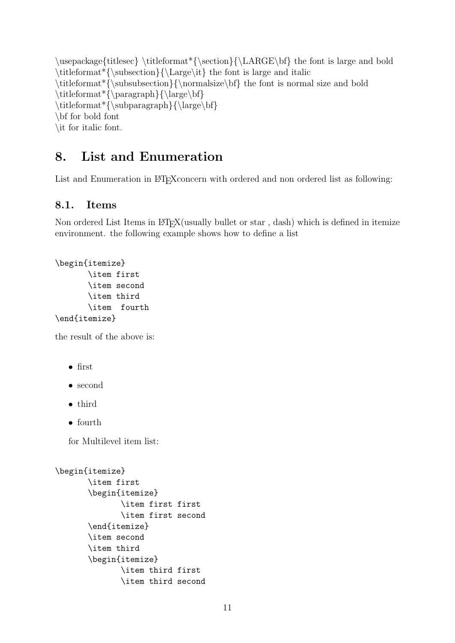$\usepackage{\it itlesec} \it itleformat*\{\section}{\LARGE\bf}$  the font is large and bold  $\tilde{\sum}$  \titleformat\*{\subsection}{\Large\it} the font is large and italic  $\tilde{\mathrm{}\sum\mathrm{subsubsection}}$  the font is normal size and bold  $\tilde{\mathrm*}\{paragraph\}$  $\tilde{\sum}$  \titleformat\*{\subparagraph}{\large\bf} \bf for bold font \it for italic font.

### 8. List and Enumeration

List and Enumeration in LATEX concern with ordered and non ordered list as following:

#### 8.1. Items

Non ordered List Items in LAT<sub>EX</sub>(usually bullet or star, dash) which is defined in itemize environment. the following example shows how to define a list

```
\begin{itemize}
       \item first
       \item second
       \item third
       \item fourth
\end{itemize}
```
the result of the above is:

• first

- second
- third
- fourth

for Multilevel item list:

```
\begin{itemize}
```

```
\item first
\begin{itemize}
       \item first first
       \item first second
\end{itemize}
\item second
\item third
\begin{itemize}
       \item third first
       \item third second
```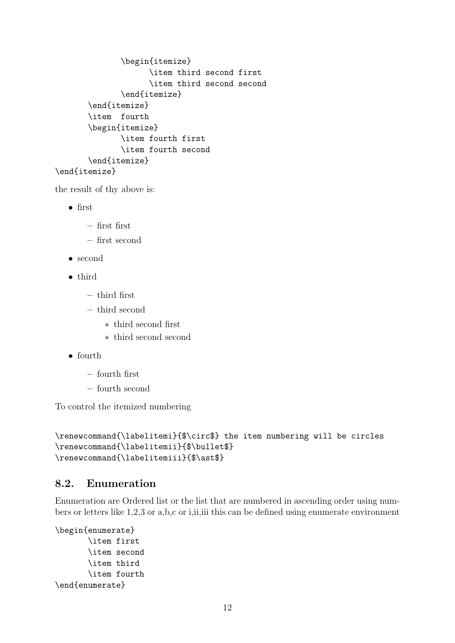```
\begin{itemize}
             \item third second first
             \item third second second
       \end{itemize}
\end{itemize}
\item fourth
\begin{itemize}
       \item fourth first
       \item fourth second
\end{itemize}
```
\end{itemize}

the result of thy above is:

- first
	- first first
	- first second
- second
- third
	- third first
	- third second
		- ∗ third second first
		- ∗ third second second
- fourth
	- fourth first
	- fourth second

To control the itemized numbering

```
\renewcommand{\labelitemi}{$\circ$} the item numbering will be circles
\renewcommand{\labelitemii}{$\bullet$}
\renewcommand{\labelitemiii}{$\ast$}
```
#### 8.2. Enumeration

Enumeration are Ordered list or the list that are numbered in ascending order using numbers or letters like 1,2,3 or a,b,c or i,ii,iii this can be defined using enumerate environment

```
\begin{enumerate}
       \item first
       \item second
       \item third
       \item fourth
\end{enumerate}
```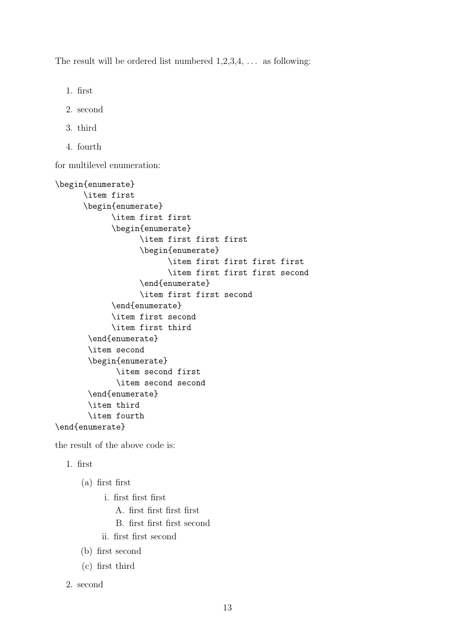The result will be ordered list numbered  $1,2,3,4,\ldots$  as following:

- 1. first
- 2. second
- 3. third
- 4. fourth

for multilevel enumeration:

```
\begin{enumerate}
      \item first
      \begin{enumerate}
            \item first first
            \begin{enumerate}
                  \item first first first
                  \begin{enumerate}
                        \item first first first first
                        \item first first first second
                  \end{enumerate}
                  \item first first second
            \end{enumerate}
            \item first second
            \item first third
       \end{enumerate}
       \item second
       \begin{enumerate}
             \item second first
             \item second second
       \end{enumerate}
       \item third
       \item fourth
\end{enumerate}
```
the result of the above code is:

1. first

(a) first first

- i. first first first
	- A. first first first first
	- B. first first first second
- ii. first first second
- (b) first second
- (c) first third
- 2. second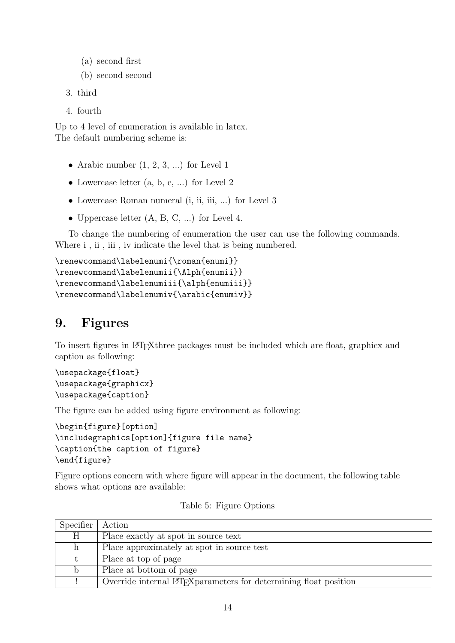- (a) second first
- (b) second second

```
3. third
```
4. fourth

Up to 4 level of enumeration is available in latex. The default numbering scheme is:

- Arabic number  $(1, 2, 3, ...)$  for Level 1
- Lowercase letter  $(a, b, c, ...)$  for Level 2
- Lowercase Roman numeral (i, ii, iii, ...) for Level 3
- Uppercase letter  $(A, B, C, ...)$  for Level 4.

To change the numbering of enumeration the user can use the following commands. Where  $i$ ,  $ii$ ,  $iii$ ,  $iv$  indicate the level that is being numbered.

```
\renewcommand\labelenumi{\roman{enumi}}
\renewcommand\labelenumii{\Alph{enumii}}
\renewcommand\labelenumiii{\alph{enumiii}}
\renewcommand\labelenumiv{\arabic{enumiv}}
```
### 9. Figures

To insert figures in LAT<sub>E</sub>Xthree packages must be included which are float, graphicx and caption as following:

\usepackage{float} \usepackage{graphicx} \usepackage{caption}

The figure can be added using figure environment as following:

```
\begin{figure}[option]
\includegraphics[option]{figure file name}
\caption{the caption of figure}
\end{figure}
```
Figure options concern with where figure will appear in the document, the following table shows what options are available:

| Specifier | Action                                                                         |
|-----------|--------------------------------------------------------------------------------|
| Η         | Place exactly at spot in source text                                           |
|           | Place approximately at spot in source test                                     |
|           | Place at top of page                                                           |
|           | Place at bottom of page                                                        |
|           | Override internal LAT <sub>F</sub> X parameters for determining float position |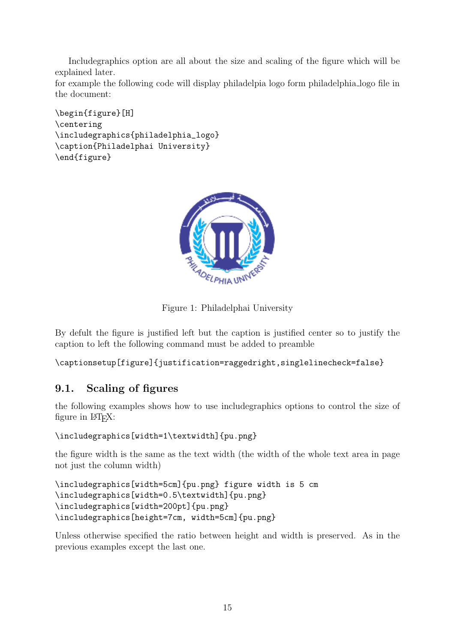Includegraphics option are all about the size and scaling of the figure which will be explained later.

for example the following code will display philadelpia logo form philadelphia logo file in the document:

```
\begin{figure}[H]
\centering
\includegraphics{philadelphia_logo}
\caption{Philadelphai University}
\end{figure}
```


Figure 1: Philadelphai University

By defult the figure is justified left but the caption is justified center so to justify the caption to left the following command must be added to preamble

\captionsetup[figure]{justification=raggedright,singlelinecheck=false}

#### 9.1. Scaling of figures

the following examples shows how to use includegraphics options to control the size of figure in L<sup>AT</sup>FX:

```
\includegraphics[width=1\textwidth]{pu.png}
```
the figure width is the same as the text width (the width of the whole text area in page not just the column width)

```
\includegraphics[width=5cm]{pu.png} figure width is 5 cm
\includegraphics[width=0.5\textwidth]{pu.png}
\includegraphics[width=200pt]{pu.png}
\includegraphics[height=7cm, width=5cm]{pu.png}
```
Unless otherwise specified the ratio between height and width is preserved. As in the previous examples except the last one.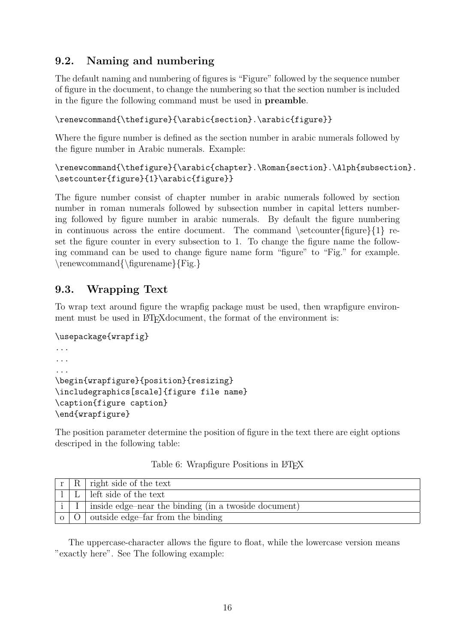### 9.2. Naming and numbering

The default naming and numbering of figures is "Figure" followed by the sequence number of figure in the document, to change the numbering so that the section number is included in the figure the following command must be used in preamble.

\renewcommand{\thefigure}{\arabic{section}.\arabic{figure}}

Where the figure number is defined as the section number in arabic numerals followed by the figure number in Arabic numerals. Example:

```
\renewcommand{\thefigure}{\arabic{chapter}.\Roman{section}.\Alph{subsection}.
\setcounter{figure}{1}\arabic{figure}}
```
The figure number consist of chapter number in arabic numerals followed by section number in roman numerals followed by subsection number in capital letters numbering followed by figure number in arabic numerals. By default the figure numbering in continuous across the entire document. The command  $\setminus$ setcounter{figure}{1} reset the figure counter in every subsection to 1. To change the figure name the following command can be used to change figure name form "figure" to "Fig." for example.  $\rm{mod}{\figurename}{Fig.}$ 

### 9.3. Wrapping Text

To wrap text around figure the wrapfig package must be used, then wrapfigure environment must be used in LAT<sub>E</sub>X document, the format of the environment is:

```
\usepackage{wrapfig}
...
...
...
\begin{wrapfigure}{position}{resizing}
\includegraphics[scale]{figure file name}
\caption{figure caption}
\end{wrapfigure}
```
The position parameter determine the position of figure in the text there are eight options descriped in the following table:

|  | $r   R  $ right side of the text                                      |
|--|-----------------------------------------------------------------------|
|  | $L$   left side of the text                                           |
|  | $i \mid I \mid$ inside edge-near the binding (in a two side document) |
|  | $\circ$   O   outside edge-far from the binding                       |

Table 6: Wrapfigure Positions in LAT<sub>EX</sub>

The uppercase-character allows the figure to float, while the lowercase version means "exactly here". See The following example: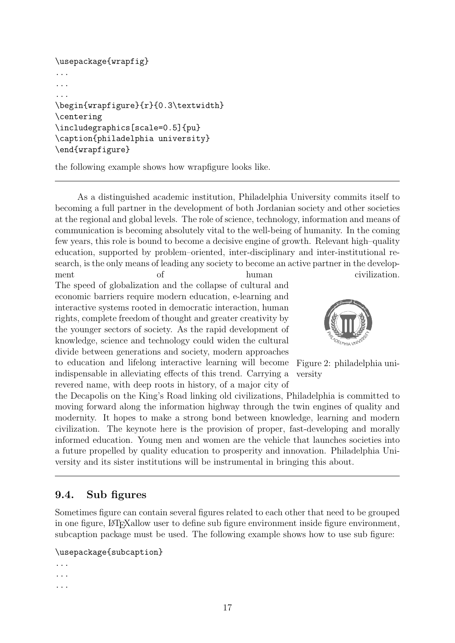```
\usepackage{wrapfig}
...
...
...
\begin{wrapfigure}{r}{0.3\textwidth}
\centering
\includegraphics[scale=0.5]{pu}
\caption{philadelphia university}
\end{wrapfigure}
```
the following example shows how wrapfigure looks like.

As a distinguished academic institution, Philadelphia University commits itself to becoming a full partner in the development of both Jordanian society and other societies at the regional and global levels. The role of science, technology, information and means of communication is becoming absolutely vital to the well-being of humanity. In the coming few years, this role is bound to become a decisive engine of growth. Relevant high–quality education, supported by problem–oriented, inter-disciplinary and inter-institutional research, is the only means of leading any society to become an active partner in the develop-

ment of human civilization. The speed of globalization and the collapse of cultural and economic barriers require modern education, e-learning and interactive systems rooted in democratic interaction, human rights, complete freedom of thought and greater creativity by the younger sectors of society. As the rapid development of knowledge, science and technology could widen the cultural divide between generations and society, modern approaches to education and lifelong interactive learning will become indispensable in alleviating effects of this trend. Carrying a revered name, with deep roots in history, of a major city of



Figure 2: philadelphia university

the Decapolis on the King's Road linking old civilizations, Philadelphia is committed to moving forward along the information highway through the twin engines of quality and modernity. It hopes to make a strong bond between knowledge, learning and modern civilization. The keynote here is the provision of proper, fast-developing and morally informed education. Young men and women are the vehicle that launches societies into a future propelled by quality education to prosperity and innovation. Philadelphia University and its sister institutions will be instrumental in bringing this about.

### 9.4. Sub figures

Sometimes figure can contain several figures related to each other that need to be grouped in one figure, LATEXallow user to define sub figure environment inside figure environment, subcaption package must be used. The following example shows how to use sub figure:

#### \usepackage{subcaption}

```
...
...
...
```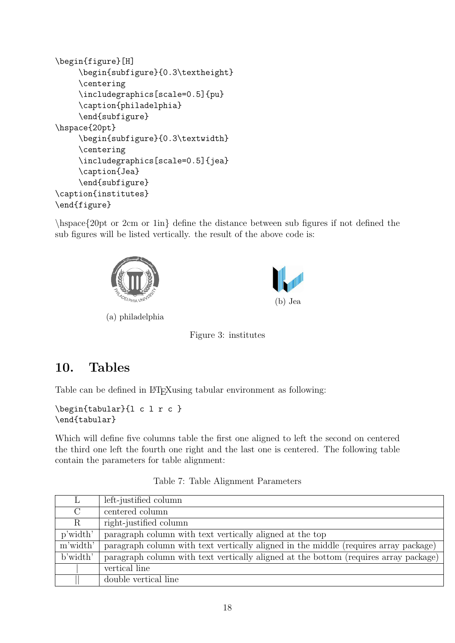```
\begin{figure}[H]
     \begin{subfigure}{0.3\textheight}
     \centering
     \includegraphics[scale=0.5]{pu}
     \caption{philadelphia}
     \end{subfigure}
\hspace{20pt}
     \begin{subfigure}{0.3\textwidth}
     \centering
     \includegraphics[scale=0.5]{jea}
     \caption{Jea}
     \end{subfigure}
\caption{institutes}
\end{figure}
```
\hspace{20pt or 2cm or 1in} define the distance between sub figures if not defined the sub figures will be listed vertically. the result of the above code is:





(a) philadelphia

Figure 3: institutes

### 10. Tables

Table can be defined in LAT<sub>E</sub>Xusing tabular environment as following:

```
\begin{tabular}{l c l r c }
\end{tabular}
```
Which will define five columns table the first one aligned to left the second on centered the third one left the fourth one right and the last one is centered. The following table contain the parameters for table alignment:

| L        | left-justified column                                                                |
|----------|--------------------------------------------------------------------------------------|
| $\rm C$  | centered column                                                                      |
| $\rm R$  | right-justified column                                                               |
| p'width' | paragraph column with text vertically aligned at the top                             |
| m'width' | paragraph column with text vertically aligned in the middle (requires array package) |
| b'width' | paragraph column with text vertically aligned at the bottom (requires array package) |
|          | vertical line                                                                        |
|          | double vertical line                                                                 |

Table 7: Table Alignment Parameters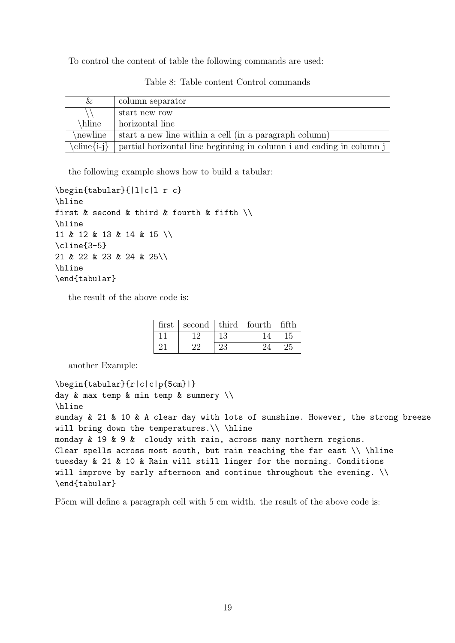To control the content of table the following commands are used:

| &       | column separator                                                                        |
|---------|-----------------------------------------------------------------------------------------|
|         | start new row                                                                           |
| hline   | horizontal line                                                                         |
| newline | start a new line within a cell (in a paragraph column)                                  |
|         | $\chi$ line{i-j}   partial horizontal line beginning in column i and ending in column j |

Table 8: Table content Control commands

the following example shows how to build a tabular:

```
\begin{tabular}{|l|c|l r c}
\hline
first & second & third & fourth & fifth \setminus\hline
11 & 12 & 13 & 14 & 15 \\
\cline{3-5}
21 & 22 & 23 & 24 & 25\\
\hline
\end{tabular}
```
the result of the above code is:

| first | second third fourth |    |  |
|-------|---------------------|----|--|
|       |                     |    |  |
|       |                     | 23 |  |

another Example:

```
\begin{tabular}{r|c|c|p{5cm}|}
day \& max temp \& min temp \& summery \setminus\setminus\hline
sunday & 21 & 10 & A clear day with lots of sunshine. However, the strong breeze
will bring down the temperatures.\setminus \hline
monday & 19 & 9 & cloudy with rain, across many northern regions.
Clear spells across most south, but rain reaching the far east \iint \hline
tuesday & 21 & 10 & Rain will still linger for the morning. Conditions
will improve by early afternoon and continue throughout the evening. \setminus\setminus\end{tabular}
```
P5cm will define a paragraph cell with 5 cm width. the result of the above code is: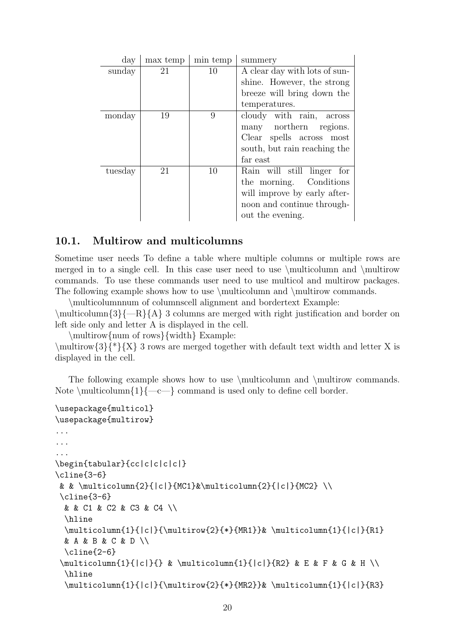| day     | max temp | min temp | summery                       |
|---------|----------|----------|-------------------------------|
| sunday  | 21       | 10       | A clear day with lots of sun- |
|         |          |          | shine. However, the strong    |
|         |          |          | breeze will bring down the    |
|         |          |          | temperatures.                 |
| monday  | 19       | 9        | cloudy with rain, across      |
|         |          |          | many northern regions.        |
|         |          |          | Clear spells across most      |
|         |          |          | south, but rain reaching the  |
|         |          |          | far east                      |
| tuesday | 21       | 10       | Rain will still linger for    |
|         |          |          | the morning. Conditions       |
|         |          |          | will improve by early after-  |
|         |          |          | noon and continue through-    |
|         |          |          | out the evening.              |

#### 10.1. Multirow and multicolumns

Sometime user needs To define a table where multiple columns or multiple rows are merged in to a single cell. In this case user need to use \multicolumn and \multirow commands. To use these commands user need to use multicol and multirow packages. The following example shows how to use \multicolumn and \multirow commands.

\multicolumnnum of columnscell alignment and bordertext Example:  $\mathcal{3}\{-R\{A\}$  3 columns are merged with right justification and border on

left side only and letter A is displayed in the cell.

\multirow{num of rows}{width} Example:

 $\mathcal{3}\$  \\frac{N}{\*}{X} 3 rows are merged together with default text width and letter X is displayed in the cell.

The following example shows how to use  $\mathrm{multicolumn}$  and  $\mathrm{multicolumn}$ Note  $\mathrm{1}\{-c\}$  command is used only to define cell border.

```
\usepackage{multicol}
\usepackage{multirow}
...
...
...
\begin{tabular}{cc|c|c|c|c|}
\cline{3-6}
 & & \multicolumn{2}{|c|}{MC1}&\multicolumn{2}{|c|}{MC2} \\
 \cline{3-6}
  & & C1 & C2 & C3 & C4 \\
  \hline
  \mathcal{1}{|c|}{\mathcal{2}{*}{MR1}}\ \multicolumn{1}{|c|}{R1}
  & A & B & C & D \\
  \cline{2-6}
 \mathcal{L}\left\{ |c| \right\} & \mathcal{L}\left\{ |c| \right\} and \mathcal{L}\left\{ |c| \right\} and \mathcal{L}\left\{ |c| \right\} and \mathcal{L}\left\{ |c| \right\} and \mathcal{L}\left\{ |c| \right\}\hline
  \mathcal{1}_{c}{\multirow{2}{*}{MR2}}& \multicolumn{1}{|c|}{R3}
```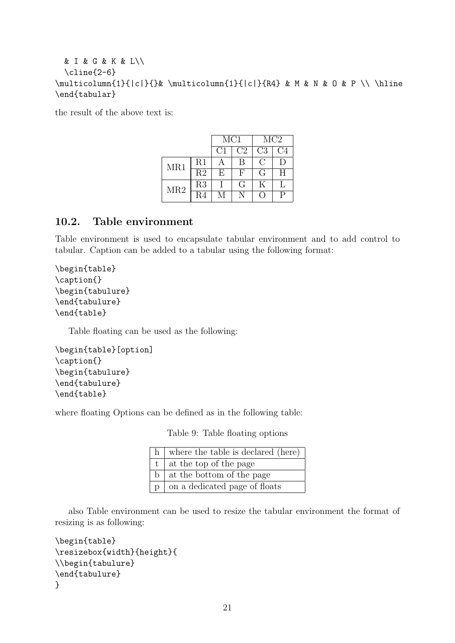```
& I & G & K & L\\
  \cline{2-6}
\multicolumn{1}{|c|}{}& \multicolumn{1}{|c|}{R4} & M & N & O & P \\ \hline
\end{tabular}
```
the result of the above text is:

|     |                 | MC1 |                | MC2            |        |
|-----|-----------------|-----|----------------|----------------|--------|
|     |                 | C1  | C <sub>2</sub> | C <sub>3</sub> | C4     |
| MR1 | R1              |     | B              | C              | $\Box$ |
|     | $\overline{R2}$ | E   | F              | G              | H      |
| MR2 | R3              |     | G              | Κ              |        |
|     | R4              |     |                | a D            | Þ      |

#### 10.2. Table environment

Table environment is used to encapsulate tabular environment and to add control to tabular. Caption can be added to a tabular using the following format:

```
\begin{table}
\caption{}
\begin{tabulure}
\end{tabulure}
\end{table}
```
Table floating can be used as the following:

```
\begin{table}[option]
\caption{}
\begin{tabulure}
\end{tabulure}
\end{table}
```
where floating Options can be defined as in the following table:

Table 9: Table floating options

| h where the table is declared (here)   |
|----------------------------------------|
| $t \mid$ at the top of the page        |
| $\mathbf{b}$ at the bottom of the page |
| $ p $ on a dedicated page of floats    |

also Table environment can be used to resize the tabular environment the format of resizing is as following:

```
\begin{table}
\resizebox{width}{height}{
\\begin{tabulure}
\end{tabulure}
}
```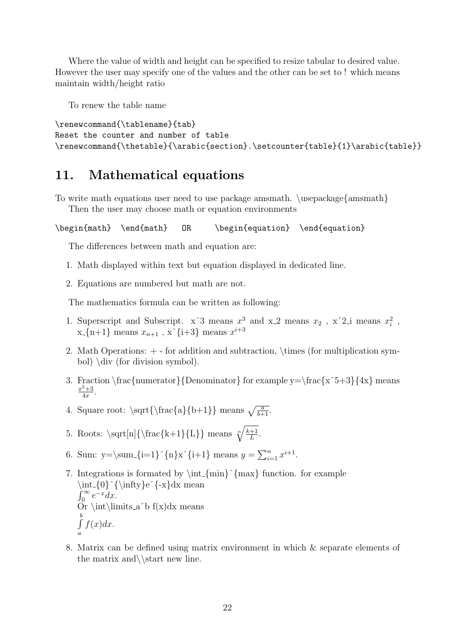Where the value of width and height can be specified to resize tabular to desired value. However the user may specify one of the values and the other can be set to ! which means maintain width/height ratio

To renew the table name

```
\renewcommand{\tablename}{tab}
Reset the counter and number of table
\renewcommand{\thetable}{\arabic{section}.\setcounter{table}{1}\arabic{table}}
```
### 11. Mathematical equations

To write math equations user need to use package amsmath. \usepackage{amsmath} Then the user may choose math or equation environments

\begin{math} \end{math} OR \begin{equation} \end{equation}

The differences between math and equation are:

- 1. Math displayed within text but equation displayed in dedicated line.
- 2. Equations are numbered but math are not.

The mathematics formula can be written as following:

- 1. Superscript and Subscript.  $x^3$  means  $x^3$  and  $x \neq 2$  means  $x_2$ ,  $x^2 \neq 2$  means  $x_i^2$ ,  $x_{-}\{n+1\}$  means  $x_{n+1}$ ,  $x^{\hat{-}}\{i+3\}$  means  $x^{i+3}$
- 2. Math Operations: + for addition and subtraction, \times (for multiplication symbol) \div (for division symbol).
- 3. Fraction \frac{numerator}{Denominator} for example y=\frac{x^5+3}{4x} means  $x^5 + 3$  $\frac{3+3}{4x}$ .
- 4. Square root:  $\sqrt{\frac{a}{b+1}}$  means  $\sqrt{\frac{a}{b+1}}$ .
- 5. Roots:  $\sqrt{\frac{n}{\frac{k+1}{L}}$  means  $\sqrt{\frac{k+1}{L}}$  $\frac{+1}{L}$ .
- 6. Sum:  $y = \sum_{i=1}^{n} x^{i+1}$  means  $y = \sum_{i=1}^{n} x^{i+1}$ .
- 7. Integrations is formated by  $\int_{\min}^{\max}$  function. for example  $\int {\{0}^{\infty}e^{\{-x\}}dx$  mean  $\int_0^\infty e^{-x} dx.$  $J_0$   $\cup$   $ax$ .<br>Or \int\limits\_a^b f(x)dx means  $\int_a^b$ a  $f(x)dx$ .
- 8. Matrix can be defined using matrix environment in which & separate elements of the matrix and  $\star$  new line.